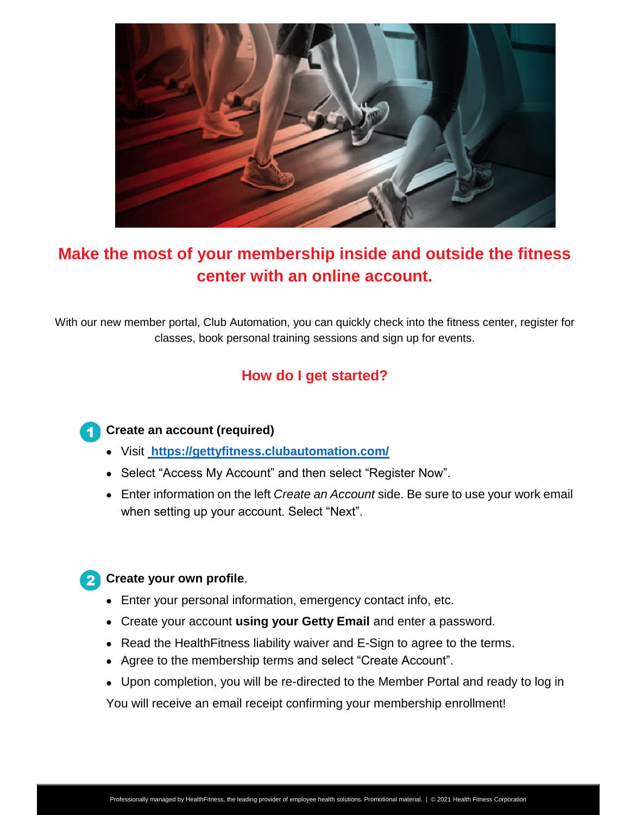

## **Make the most of your membership inside and outside the fitness center with an online account.**

With our new member portal, Club Automation, you can quickly check into the fitness center, register for classes, book personal training sessions and sign up for events.

## **How do I get started?**

## **Create an account (required)**

- Visit **<https://gettyfitness.clubautomation.com/>**
- Select "Access My Account" and then select "Register Now".
- Enter information on the left *Create an Account* side. Be sure to use your work email when setting up your account. Select "Next".

## **Create your own profile**.

- Enter your personal information, emergency contact info, etc.
- Create your account **using your Getty Email** and enter a password.
- Read the Health Fitness liability waiver and E-Sign to agree to the terms.
- Agree to the membership terms and select "Create Account".
- Upon completion, you will be re-directed to the Member Portal and ready to log in

You will receive an email receipt confirming your membership enrollment!